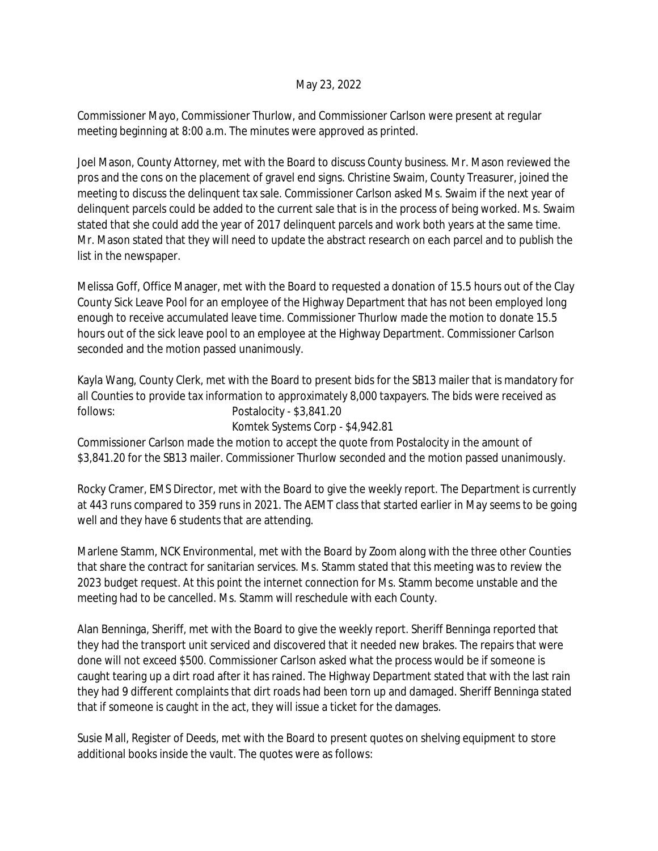## May 23, 2022

Commissioner Mayo, Commissioner Thurlow, and Commissioner Carlson were present at regular meeting beginning at 8:00 a.m. The minutes were approved as printed.

Joel Mason, County Attorney, met with the Board to discuss County business. Mr. Mason reviewed the pros and the cons on the placement of gravel end signs. Christine Swaim, County Treasurer, joined the meeting to discuss the delinquent tax sale. Commissioner Carlson asked Ms. Swaim if the next year of delinquent parcels could be added to the current sale that is in the process of being worked. Ms. Swaim stated that she could add the year of 2017 delinquent parcels and work both years at the same time. Mr. Mason stated that they will need to update the abstract research on each parcel and to publish the list in the newspaper.

Melissa Goff, Office Manager, met with the Board to requested a donation of 15.5 hours out of the Clay County Sick Leave Pool for an employee of the Highway Department that has not been employed long enough to receive accumulated leave time. Commissioner Thurlow made the motion to donate 15.5 hours out of the sick leave pool to an employee at the Highway Department. Commissioner Carlson seconded and the motion passed unanimously.

Kayla Wang, County Clerk, met with the Board to present bids for the SB13 mailer that is mandatory for all Counties to provide tax information to approximately 8,000 taxpayers. The bids were received as follows: Postalocity - \$3,841.20

## Komtek Systems Corp - \$4,942.81

Commissioner Carlson made the motion to accept the quote from Postalocity in the amount of \$3,841.20 for the SB13 mailer. Commissioner Thurlow seconded and the motion passed unanimously.

Rocky Cramer, EMS Director, met with the Board to give the weekly report. The Department is currently at 443 runs compared to 359 runs in 2021. The AEMT class that started earlier in May seems to be going well and they have 6 students that are attending.

Marlene Stamm, NCK Environmental, met with the Board by Zoom along with the three other Counties that share the contract for sanitarian services. Ms. Stamm stated that this meeting was to review the 2023 budget request. At this point the internet connection for Ms. Stamm become unstable and the meeting had to be cancelled. Ms. Stamm will reschedule with each County.

Alan Benninga, Sheriff, met with the Board to give the weekly report. Sheriff Benninga reported that they had the transport unit serviced and discovered that it needed new brakes. The repairs that were done will not exceed \$500. Commissioner Carlson asked what the process would be if someone is caught tearing up a dirt road after it has rained. The Highway Department stated that with the last rain they had 9 different complaints that dirt roads had been torn up and damaged. Sheriff Benninga stated that if someone is caught in the act, they will issue a ticket for the damages.

Susie Mall, Register of Deeds, met with the Board to present quotes on shelving equipment to store additional books inside the vault. The quotes were as follows: